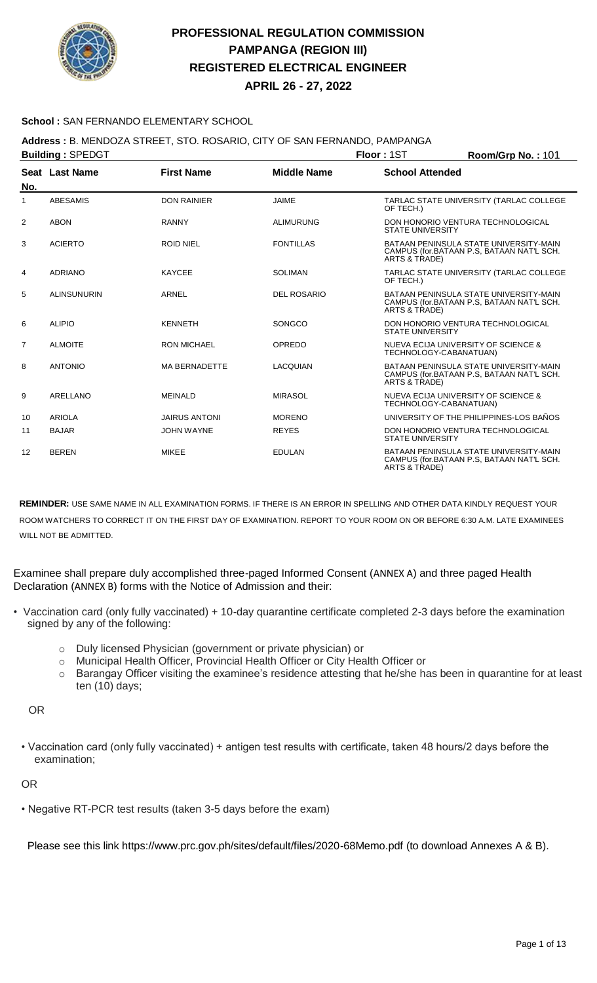

**APRIL 26 - 27, 2022**

#### **School :** SAN FERNANDO ELEMENTARY SCHOOL

## **Address :** B. MENDOZA STREET, STO. ROSARIO, CITY OF SAN FERNANDO, PAMPANGA

| <b>Building: SPEDGT</b> |                    |                      |                    | Floor: 1ST                                                                                           | Room/Grp No.: 101 |
|-------------------------|--------------------|----------------------|--------------------|------------------------------------------------------------------------------------------------------|-------------------|
|                         | Seat Last Name     | <b>First Name</b>    | <b>Middle Name</b> | <b>School Attended</b>                                                                               |                   |
| No.                     |                    |                      |                    |                                                                                                      |                   |
| $\mathbf{1}$            | <b>ABESAMIS</b>    | <b>DON RAINIER</b>   | <b>JAIME</b>       | TARLAC STATE UNIVERSITY (TARLAC COLLEGE<br>OF TECH.)                                                 |                   |
| $\overline{2}$          | <b>ABON</b>        | <b>RANNY</b>         | <b>ALIMURUNG</b>   | DON HONORIO VENTURA TECHNOLOGICAL<br><b>STATE UNIVERSITY</b>                                         |                   |
| 3                       | <b>ACIERTO</b>     | <b>ROID NIEL</b>     | <b>FONTILLAS</b>   | BATAAN PENINSULA STATE UNIVERSITY-MAIN<br>CAMPUS (for.BATAAN P.S, BATAAN NAT'L SCH.<br>ARTS & TRADE) |                   |
| 4                       | <b>ADRIANO</b>     | <b>KAYCEE</b>        | <b>SOLIMAN</b>     | TARLAC STATE UNIVERSITY (TARLAC COLLEGE<br>OF TECH.)                                                 |                   |
| 5                       | <b>ALINSUNURIN</b> | <b>ARNEL</b>         | <b>DEL ROSARIO</b> | BATAAN PENINSULA STATE UNIVERSITY-MAIN<br>CAMPUS (for.BATAAN P.S, BATAAN NAT'L SCH.<br>ARTS & TRADE) |                   |
| 6                       | <b>ALIPIO</b>      | <b>KENNETH</b>       | SONGCO             | DON HONORIO VENTURA TECHNOLOGICAL<br><b>STATE UNIVERSITY</b>                                         |                   |
| $\overline{7}$          | <b>ALMOITE</b>     | <b>RON MICHAEL</b>   | OPREDO             | NUEVA ECIJA UNIVERSITY OF SCIENCE &<br>TECHNOLOGY-CABANATUAN)                                        |                   |
| 8                       | <b>ANTONIO</b>     | <b>MA BERNADETTE</b> | <b>LACQUIAN</b>    | BATAAN PENINSULA STATE UNIVERSITY-MAIN<br>CAMPUS (for.BATAAN P.S. BATAAN NAT'L SCH.<br>ARTS & TRADE) |                   |
| 9                       | ARELLANO           | <b>MEINALD</b>       | <b>MIRASOL</b>     | NUEVA ECIJA UNIVERSITY OF SCIENCE &<br>TECHNOLOGY-CABANATUAN)                                        |                   |
| 10                      | <b>ARIOLA</b>      | <b>JAIRUS ANTONI</b> | <b>MORENO</b>      | UNIVERSITY OF THE PHILIPPINES-LOS BAÑOS                                                              |                   |
| 11                      | <b>BAJAR</b>       | <b>JOHN WAYNE</b>    | <b>REYES</b>       | DON HONORIO VENTURA TECHNOLOGICAL<br><b>STATE UNIVERSITY</b>                                         |                   |
| 12                      | <b>BEREN</b>       | <b>MIKEE</b>         | <b>EDULAN</b>      | BATAAN PENINSULA STATE UNIVERSITY-MAIN<br>CAMPUS (for.BATAAN P.S. BATAAN NAT'L SCH.<br>ARTS & TRADE) |                   |

**REMINDER:** USE SAME NAME IN ALL EXAMINATION FORMS. IF THERE IS AN ERROR IN SPELLING AND OTHER DATA KINDLY REQUEST YOUR ROOM WATCHERS TO CORRECT IT ON THE FIRST DAY OF EXAMINATION. REPORT TO YOUR ROOM ON OR BEFORE 6:30 A.M. LATE EXAMINEES WILL NOT BE ADMITTED.

Examinee shall prepare duly accomplished three-paged Informed Consent (ANNEX A) and three paged Health Declaration (ANNEX B) forms with the Notice of Admission and their:

- Vaccination card (only fully vaccinated) + 10-day quarantine certificate completed 2-3 days before the examination signed by any of the following:
	- o Duly licensed Physician (government or private physician) or
	- o Municipal Health Officer, Provincial Health Officer or City Health Officer or
	- o Barangay Officer visiting the examinee's residence attesting that he/she has been in quarantine for at least ten (10) days;

OR

• Vaccination card (only fully vaccinated) + antigen test results with certificate, taken 48 hours/2 days before the examination;

#### OR

• Negative RT-PCR test results (taken 3-5 days before the exam)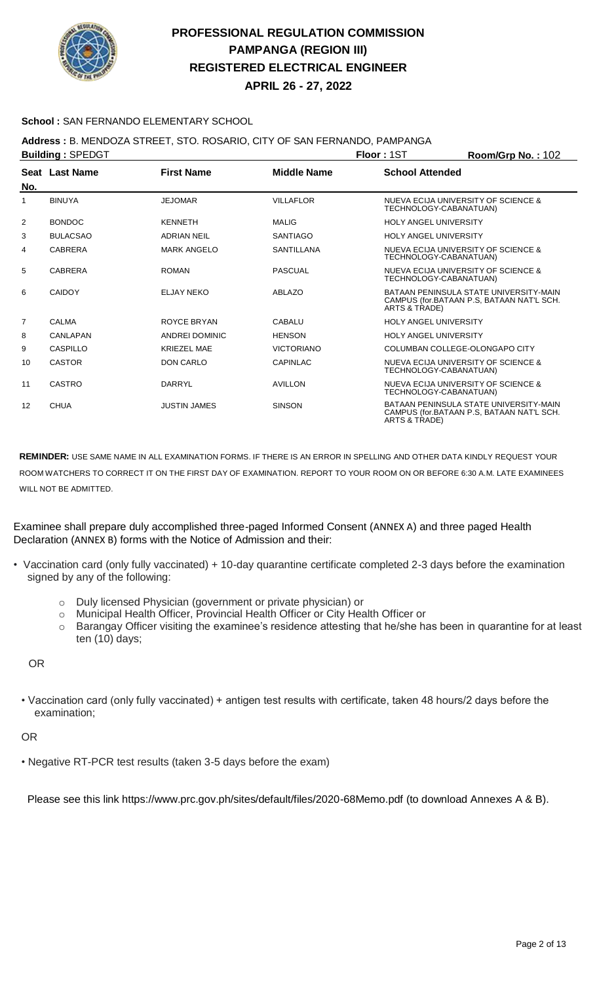

**APRIL 26 - 27, 2022**

### **School :** SAN FERNANDO ELEMENTARY SCHOOL

### **Address :** B. MENDOZA STREET, STO. ROSARIO, CITY OF SAN FERNANDO, PAMPANGA

|                | <b>Building: SPEDGT</b> |                       |                    | Floor: 1ST                   | Room/Grp No.: 102                                                                   |
|----------------|-------------------------|-----------------------|--------------------|------------------------------|-------------------------------------------------------------------------------------|
|                | Seat Last Name          | <b>First Name</b>     | <b>Middle Name</b> | <b>School Attended</b>       |                                                                                     |
| No.            |                         |                       |                    |                              |                                                                                     |
| 1              | <b>BINUYA</b>           | <b>JEJOMAR</b>        | <b>VILLAFLOR</b>   | TECHNOLOGY-CABANATUAN)       | NUEVA ECIJA UNIVERSITY OF SCIENCE &                                                 |
| 2              | <b>BONDOC</b>           | <b>KENNETH</b>        | <b>MALIG</b>       | <b>HOLY ANGEL UNIVERSITY</b> |                                                                                     |
| 3              | <b>BULACSAO</b>         | <b>ADRIAN NEIL</b>    | <b>SANTIAGO</b>    | <b>HOLY ANGEL UNIVERSITY</b> |                                                                                     |
| 4              | <b>CABRERA</b>          | <b>MARK ANGELO</b>    | <b>SANTILLANA</b>  | TECHNOLOGY-CABANATUAN)       | NUEVA ECIJA UNIVERSITY OF SCIENCE &                                                 |
| 5              | <b>CABRERA</b>          | <b>ROMAN</b>          | <b>PASCUAL</b>     | TECHNOLOGY-CABANATUAN)       | NUEVA ECIJA UNIVERSITY OF SCIENCE &                                                 |
| 6              | CAIDOY                  | ELJAY NEKO            | <b>ABLAZO</b>      | ARTS & TRADE)                | BATAAN PENINSULA STATE UNIVERSITY-MAIN<br>CAMPUS (for.BATAAN P.S. BATAAN NAT'L SCH. |
| $\overline{7}$ | CALMA                   | ROYCE BRYAN           | <b>CABALU</b>      | <b>HOLY ANGEL UNIVERSITY</b> |                                                                                     |
| 8              | CANLAPAN                | <b>ANDREI DOMINIC</b> | <b>HENSON</b>      | <b>HOLY ANGEL UNIVERSITY</b> |                                                                                     |
| 9              | CASPILLO                | <b>KRIEZEL MAE</b>    | <b>VICTORIANO</b>  |                              | COLUMBAN COLLEGE-OLONGAPO CITY                                                      |
| 10             | <b>CASTOR</b>           | <b>DON CARLO</b>      | <b>CAPINLAC</b>    | TECHNOLOGY-CABANATUAN)       | NUEVA ECIJA UNIVERSITY OF SCIENCE &                                                 |
| 11             | CASTRO                  | DARRYL                | <b>AVILLON</b>     | TECHNOLOGY-CABANATUAN)       | NUEVA ECIJA UNIVERSITY OF SCIENCE &                                                 |
| 12             | <b>CHUA</b>             | <b>JUSTIN JAMES</b>   | <b>SINSON</b>      | ARTS & TRADE)                | BATAAN PENINSULA STATE UNIVERSITY-MAIN<br>CAMPUS (for.BATAAN P.S. BATAAN NAT'L SCH. |

**REMINDER:** USE SAME NAME IN ALL EXAMINATION FORMS. IF THERE IS AN ERROR IN SPELLING AND OTHER DATA KINDLY REQUEST YOUR ROOM WATCHERS TO CORRECT IT ON THE FIRST DAY OF EXAMINATION. REPORT TO YOUR ROOM ON OR BEFORE 6:30 A.M. LATE EXAMINEES WILL NOT BE ADMITTED.

Examinee shall prepare duly accomplished three-paged Informed Consent (ANNEX A) and three paged Health Declaration (ANNEX B) forms with the Notice of Admission and their:

- Vaccination card (only fully vaccinated) + 10-day quarantine certificate completed 2-3 days before the examination signed by any of the following:
	- o Duly licensed Physician (government or private physician) or
	- o Municipal Health Officer, Provincial Health Officer or City Health Officer or
	- o Barangay Officer visiting the examinee's residence attesting that he/she has been in quarantine for at least ten (10) days;

OR

• Vaccination card (only fully vaccinated) + antigen test results with certificate, taken 48 hours/2 days before the examination;

OR

• Negative RT-PCR test results (taken 3-5 days before the exam)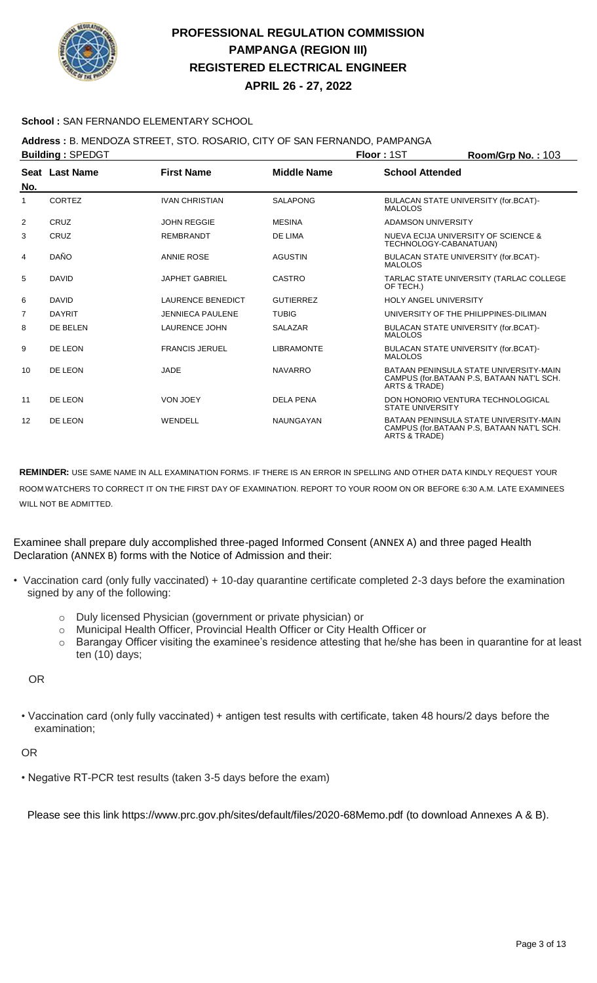

**APRIL 26 - 27, 2022**

### **School :** SAN FERNANDO ELEMENTARY SCHOOL

## **Address :** B. MENDOZA STREET, STO. ROSARIO, CITY OF SAN FERNANDO, PAMPANGA

| <b>Building: SPEDGT</b> |                       |                          |                    | Floor: 1ST                   | Room/Grp No.: 103                                                                   |
|-------------------------|-----------------------|--------------------------|--------------------|------------------------------|-------------------------------------------------------------------------------------|
| No.                     | <b>Seat Last Name</b> | <b>First Name</b>        | <b>Middle Name</b> | <b>School Attended</b>       |                                                                                     |
| 1                       | CORTEZ                | <b>IVAN CHRISTIAN</b>    | <b>SALAPONG</b>    | <b>MALOLOS</b>               | BULACAN STATE UNIVERSITY (for.BCAT)-                                                |
| $\overline{2}$          | CRUZ                  | <b>JOHN REGGIE</b>       | <b>MESINA</b>      | ADAMSON UNIVERSITY           |                                                                                     |
| 3                       | CRUZ                  | <b>REMBRANDT</b>         | DE LIMA            | TECHNOLOGY-CABANATUAN)       | NUEVA ECIJA UNIVERSITY OF SCIENCE &                                                 |
| 4                       | DAÑO                  | <b>ANNIE ROSE</b>        | <b>AGUSTIN</b>     | <b>MALOLOS</b>               | BULACAN STATE UNIVERSITY (for.BCAT)-                                                |
| 5                       | <b>DAVID</b>          | <b>JAPHET GABRIEL</b>    | <b>CASTRO</b>      | OF TECH.)                    | TARLAC STATE UNIVERSITY (TARLAC COLLEGE                                             |
| 6                       | <b>DAVID</b>          | <b>LAURENCE BENEDICT</b> | <b>GUTIERREZ</b>   | <b>HOLY ANGEL UNIVERSITY</b> |                                                                                     |
| $\overline{7}$          | <b>DAYRIT</b>         | <b>JENNIECA PAULENE</b>  | <b>TUBIG</b>       |                              | UNIVERSITY OF THE PHILIPPINES-DILIMAN                                               |
| 8                       | DE BELEN              | <b>LAURENCE JOHN</b>     | <b>SALAZAR</b>     | <b>MALOLOS</b>               | BULACAN STATE UNIVERSITY (for.BCAT)-                                                |
| 9                       | DE LEON               | <b>FRANCIS JERUEL</b>    | <b>LIBRAMONTE</b>  | <b>MALOLOS</b>               | BULACAN STATE UNIVERSITY (for.BCAT)-                                                |
| 10                      | DE LEON               | JADE                     | <b>NAVARRO</b>     | ARTS & TRADE)                | BATAAN PENINSULA STATE UNIVERSITY-MAIN<br>CAMPUS (for.BATAAN P.S. BATAAN NAT'L SCH. |
| 11                      | DE LEON               | <b>VON JOEY</b>          | <b>DELA PENA</b>   | <b>STATE UNIVERSITY</b>      | DON HONORIO VENTURA TECHNOLOGICAL                                                   |
| 12                      | DE LEON               | WENDELL                  | <b>NAUNGAYAN</b>   | ARTS & TRADE)                | BATAAN PENINSULA STATE UNIVERSITY-MAIN<br>CAMPUS (for.BATAAN P.S. BATAAN NAT'L SCH. |

**REMINDER:** USE SAME NAME IN ALL EXAMINATION FORMS. IF THERE IS AN ERROR IN SPELLING AND OTHER DATA KINDLY REQUEST YOUR ROOM WATCHERS TO CORRECT IT ON THE FIRST DAY OF EXAMINATION. REPORT TO YOUR ROOM ON OR BEFORE 6:30 A.M. LATE EXAMINEES WILL NOT BE ADMITTED.

Examinee shall prepare duly accomplished three-paged Informed Consent (ANNEX A) and three paged Health Declaration (ANNEX B) forms with the Notice of Admission and their:

- Vaccination card (only fully vaccinated) + 10-day quarantine certificate completed 2-3 days before the examination signed by any of the following:
	- o Duly licensed Physician (government or private physician) or
	- o Municipal Health Officer, Provincial Health Officer or City Health Officer or
	- $\circ$  Barangay Officer visiting the examinee's residence attesting that he/she has been in quarantine for at least ten (10) days;

OR

• Vaccination card (only fully vaccinated) + antigen test results with certificate, taken 48 hours/2 days before the examination;

OR

• Negative RT-PCR test results (taken 3-5 days before the exam)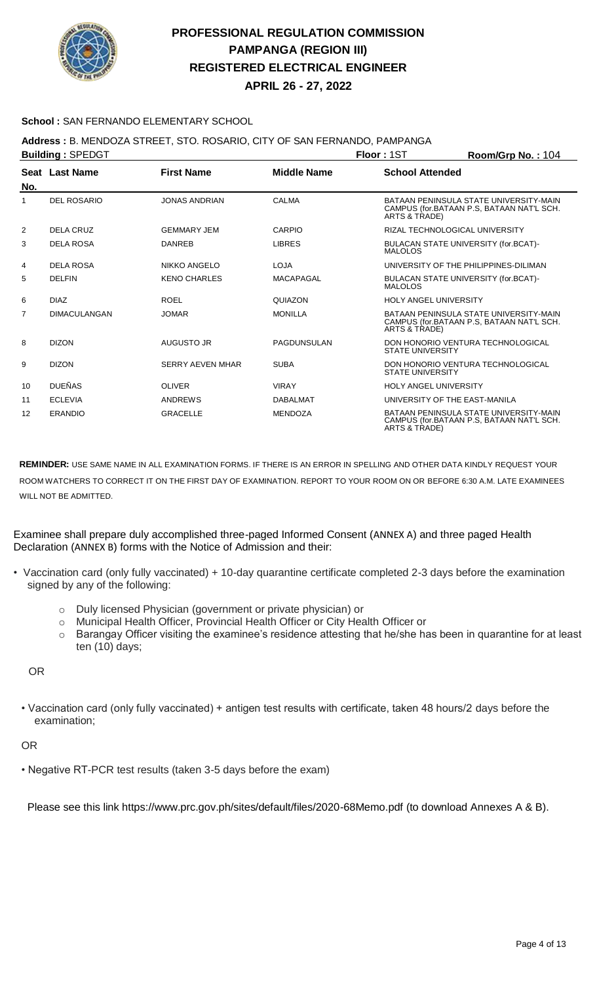

**APRIL 26 - 27, 2022**

### **School :** SAN FERNANDO ELEMENTARY SCHOOL

### **Address :** B. MENDOZA STREET, STO. ROSARIO, CITY OF SAN FERNANDO, PAMPANGA

|                   | <b>Building: SPEDGT</b> |                         |                    | Floor: 1ST                    | Room/Grp No.: 104                                                                   |  |
|-------------------|-------------------------|-------------------------|--------------------|-------------------------------|-------------------------------------------------------------------------------------|--|
| No.               | Seat Last Name          | <b>First Name</b>       | <b>Middle Name</b> | <b>School Attended</b>        |                                                                                     |  |
| 1                 | <b>DEL ROSARIO</b>      | <b>JONAS ANDRIAN</b>    | <b>CALMA</b>       | ARTS & TRADE)                 | BATAAN PENINSULA STATE UNIVERSITY-MAIN<br>CAMPUS (for.BATAAN P.S. BATAAN NAT'L SCH. |  |
| 2                 | DELA CRUZ               | <b>GEMMARY JEM</b>      | CARPIO             |                               | RIZAL TECHNOLOGICAL UNIVERSITY                                                      |  |
| 3                 | <b>DELA ROSA</b>        | <b>DANREB</b>           | <b>LIBRES</b>      | <b>MALOLOS</b>                | BULACAN STATE UNIVERSITY (for.BCAT)-                                                |  |
| 4                 | <b>DELA ROSA</b>        | <b>NIKKO ANGELO</b>     | <b>LOJA</b>        |                               | UNIVERSITY OF THE PHILIPPINES-DILIMAN                                               |  |
| 5                 | <b>DELFIN</b>           | <b>KENO CHARLES</b>     | <b>MACAPAGAL</b>   | <b>MALOLOS</b>                | BULACAN STATE UNIVERSITY (for.BCAT)-                                                |  |
| 6                 | <b>DIAZ</b>             | <b>ROEL</b>             | QUIAZON            | <b>HOLY ANGEL UNIVERSITY</b>  |                                                                                     |  |
| $\overline{7}$    | <b>DIMACULANGAN</b>     | <b>JOMAR</b>            | <b>MONILLA</b>     | ARTS & TRADE)                 | BATAAN PENINSULA STATE UNIVERSITY-MAIN<br>CAMPUS (for.BATAAN P.S. BATAAN NAT'L SCH. |  |
| 8                 | <b>DIZON</b>            | AUGUSTO JR              | PAGDUNSULAN        | <b>STATE UNIVERSITY</b>       | DON HONORIO VENTURA TECHNOLOGICAL                                                   |  |
| 9                 | <b>DIZON</b>            | <b>SERRY AEVEN MHAR</b> | <b>SUBA</b>        | <b>STATE UNIVERSITY</b>       | DON HONORIO VENTURA TECHNOLOGICAL                                                   |  |
| 10                | <b>DUEÑAS</b>           | <b>OLIVER</b>           | <b>VIRAY</b>       | <b>HOLY ANGEL UNIVERSITY</b>  |                                                                                     |  |
| 11                | <b>ECLEVIA</b>          | <b>ANDREWS</b>          | <b>DABALMAT</b>    | UNIVERSITY OF THE EAST-MANILA |                                                                                     |  |
| $12 \overline{ }$ | <b>ERANDIO</b>          | <b>GRACELLE</b>         | <b>MENDOZA</b>     | ARTS & TRADE)                 | BATAAN PENINSULA STATE UNIVERSITY-MAIN<br>CAMPUS (for.BATAAN P.S. BATAAN NAT'L SCH. |  |

**REMINDER:** USE SAME NAME IN ALL EXAMINATION FORMS. IF THERE IS AN ERROR IN SPELLING AND OTHER DATA KINDLY REQUEST YOUR ROOM WATCHERS TO CORRECT IT ON THE FIRST DAY OF EXAMINATION. REPORT TO YOUR ROOM ON OR BEFORE 6:30 A.M. LATE EXAMINEES WILL NOT BE ADMITTED.

Examinee shall prepare duly accomplished three-paged Informed Consent (ANNEX A) and three paged Health Declaration (ANNEX B) forms with the Notice of Admission and their:

- Vaccination card (only fully vaccinated) + 10-day quarantine certificate completed 2-3 days before the examination signed by any of the following:
	- o Duly licensed Physician (government or private physician) or
	- o Municipal Health Officer, Provincial Health Officer or City Health Officer or
	- o Barangay Officer visiting the examinee's residence attesting that he/she has been in quarantine for at least ten (10) days;

OR

• Vaccination card (only fully vaccinated) + antigen test results with certificate, taken 48 hours/2 days before the examination;

OR

• Negative RT-PCR test results (taken 3-5 days before the exam)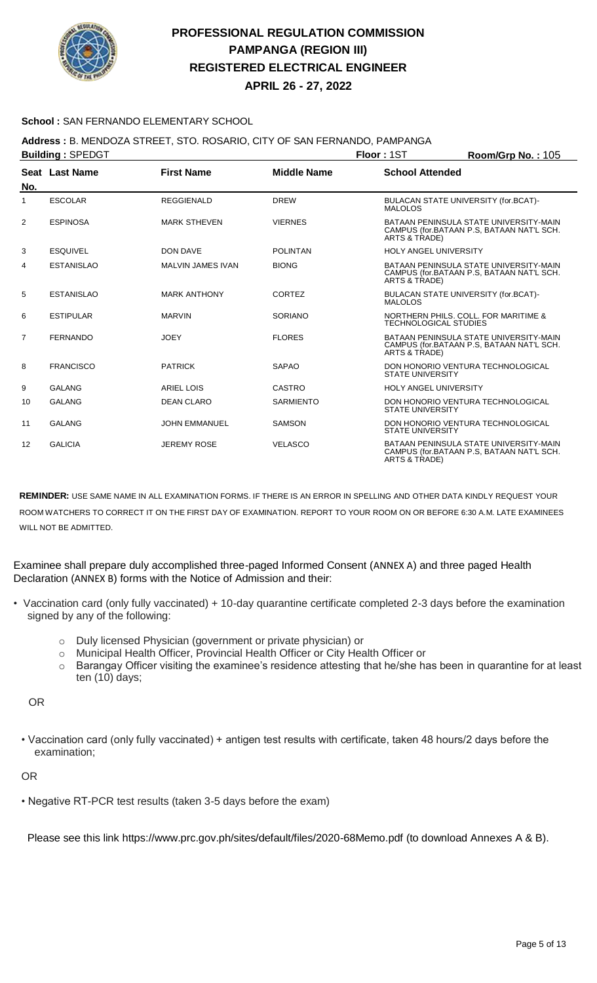

**APRIL 26 - 27, 2022**

### **School :** SAN FERNANDO ELEMENTARY SCHOOL

### **Address :** B. MENDOZA STREET, STO. ROSARIO, CITY OF SAN FERNANDO, PAMPANGA

| <b>Building: SPEDGT</b> |                   |                          |                    | Floor: 1ST                   | Room/Grp No.: 105                                                                   |
|-------------------------|-------------------|--------------------------|--------------------|------------------------------|-------------------------------------------------------------------------------------|
|                         | Seat Last Name    | <b>First Name</b>        | <b>Middle Name</b> | <b>School Attended</b>       |                                                                                     |
| No.                     |                   |                          |                    |                              |                                                                                     |
| 1                       | <b>ESCOLAR</b>    | <b>REGGIENALD</b>        | <b>DREW</b>        | <b>MALOLOS</b>               | BULACAN STATE UNIVERSITY (for.BCAT)-                                                |
| $\overline{2}$          | <b>ESPINOSA</b>   | <b>MARK STHEVEN</b>      | <b>VIERNES</b>     | ARTS & TRADE)                | BATAAN PENINSULA STATE UNIVERSITY-MAIN<br>CAMPUS (for.BATAAN P.S, BATAAN NAT'L SCH. |
| 3                       | <b>ESQUIVEL</b>   | <b>DON DAVE</b>          | <b>POLINTAN</b>    | <b>HOLY ANGEL UNIVERSITY</b> |                                                                                     |
| 4                       | <b>ESTANISLAO</b> | <b>MALVIN JAMES IVAN</b> | <b>BIONG</b>       | ARTS & TRADE)                | BATAAN PENINSULA STATE UNIVERSITY-MAIN<br>CAMPUS (for.BATAAN P.S. BATAAN NAT'L SCH. |
| 5                       | <b>ESTANISLAO</b> | <b>MARK ANTHONY</b>      | CORTEZ             | <b>MALOLOS</b>               | BULACAN STATE UNIVERSITY (for.BCAT)-                                                |
| 6                       | <b>ESTIPULAR</b>  | <b>MARVIN</b>            | SORIANO            | <b>TECHNOLOGICAL STUDIES</b> | NORTHERN PHILS, COLL, FOR MARITIME &                                                |
| $\overline{7}$          | <b>FERNANDO</b>   | <b>JOEY</b>              | <b>FLORES</b>      | ARTS & TRADE)                | BATAAN PENINSULA STATE UNIVERSITY-MAIN<br>CAMPUS (for.BATAAN P.S, BATAAN NAT'L SCH. |
| 8                       | <b>FRANCISCO</b>  | <b>PATRICK</b>           | <b>SAPAO</b>       | <b>STATE UNIVERSITY</b>      | DON HONORIO VENTURA TECHNOLOGICAL                                                   |
| 9                       | <b>GALANG</b>     | <b>ARIEL LOIS</b>        | CASTRO             | <b>HOLY ANGEL UNIVERSITY</b> |                                                                                     |
| 10                      | <b>GALANG</b>     | <b>DEAN CLARO</b>        | <b>SARMIENTO</b>   | <b>STATE UNIVERSITY</b>      | DON HONORIO VENTURA TECHNOLOGICAL                                                   |
| 11                      | <b>GALANG</b>     | <b>JOHN EMMANUEL</b>     | <b>SAMSON</b>      | <b>STATE UNIVERSITY</b>      | DON HONORIO VENTURA TECHNOLOGICAL                                                   |
| 12                      | <b>GALICIA</b>    | <b>JEREMY ROSE</b>       | <b>VELASCO</b>     | ARTS & TRADE)                | BATAAN PENINSULA STATE UNIVERSITY-MAIN<br>CAMPUS (for.BATAAN P.S. BATAAN NAT'L SCH. |

**REMINDER:** USE SAME NAME IN ALL EXAMINATION FORMS. IF THERE IS AN ERROR IN SPELLING AND OTHER DATA KINDLY REQUEST YOUR ROOM WATCHERS TO CORRECT IT ON THE FIRST DAY OF EXAMINATION. REPORT TO YOUR ROOM ON OR BEFORE 6:30 A.M. LATE EXAMINEES WILL NOT BE ADMITTED.

Examinee shall prepare duly accomplished three-paged Informed Consent (ANNEX A) and three paged Health Declaration (ANNEX B) forms with the Notice of Admission and their:

- Vaccination card (only fully vaccinated) + 10-day quarantine certificate completed 2-3 days before the examination signed by any of the following:
	- o Duly licensed Physician (government or private physician) or
	- o Municipal Health Officer, Provincial Health Officer or City Health Officer or
	- o Barangay Officer visiting the examinee's residence attesting that he/she has been in quarantine for at least ten (10) days;

OR

• Vaccination card (only fully vaccinated) + antigen test results with certificate, taken 48 hours/2 days before the examination;

#### OR

• Negative RT-PCR test results (taken 3-5 days before the exam)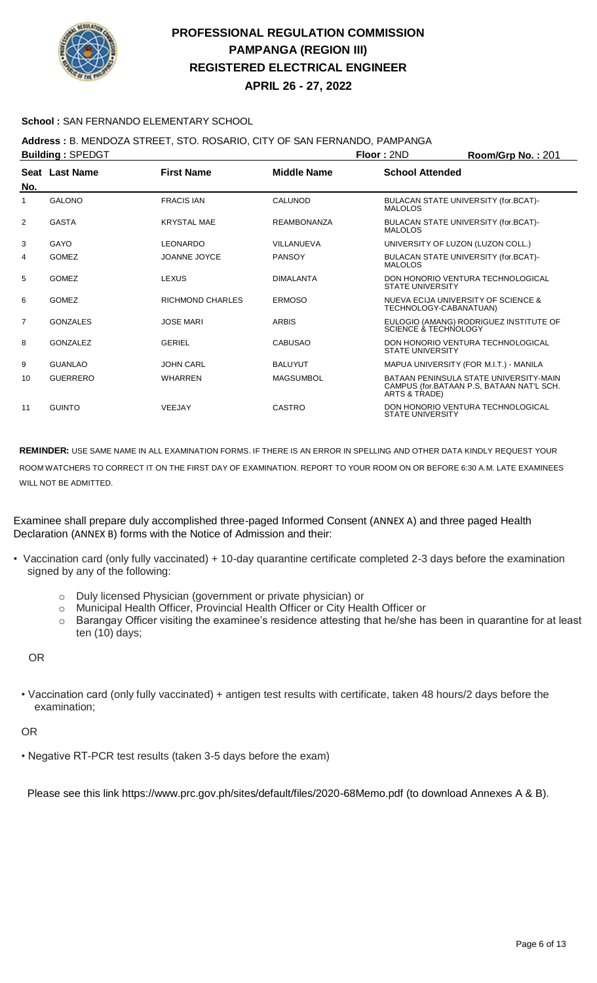

**APRIL 26 - 27, 2022**

### **School :** SAN FERNANDO ELEMENTARY SCHOOL

## **Address :** B. MENDOZA STREET, STO. ROSARIO, CITY OF SAN FERNANDO, PAMPANGA

| <b>Building: SPEDGT</b> |                 |                         |                    | Floor: 2ND                        | Room/Grp No.: 201                                                                   |
|-------------------------|-----------------|-------------------------|--------------------|-----------------------------------|-------------------------------------------------------------------------------------|
| No.                     | Seat Last Name  | <b>First Name</b>       | <b>Middle Name</b> | <b>School Attended</b>            |                                                                                     |
|                         |                 |                         |                    |                                   |                                                                                     |
|                         | <b>GALONO</b>   | <b>FRACIS IAN</b>       | <b>CALUNOD</b>     | MALOLOS                           | BULACAN STATE UNIVERSITY (for.BCAT)-                                                |
| 2                       | <b>GASTA</b>    | <b>KRYSTAL MAE</b>      | <b>REAMBONANZA</b> | <b>MALOLOS</b>                    | BULACAN STATE UNIVERSITY (for.BCAT)-                                                |
| 3                       | GAYO            | <b>LEONARDO</b>         | VILLANUEVA         | UNIVERSITY OF LUZON (LUZON COLL.) |                                                                                     |
| 4                       | <b>GOMEZ</b>    | <b>JOANNE JOYCE</b>     | <b>PANSOY</b>      | <b>MALOLOS</b>                    | BULACAN STATE UNIVERSITY (for.BCAT)-                                                |
| 5                       | <b>GOMEZ</b>    | <b>LEXUS</b>            | <b>DIMALANTA</b>   | <b>STATE UNIVERSITY</b>           | DON HONORIO VENTURA TECHNOLOGICAL                                                   |
| 6                       | <b>GOMEZ</b>    | <b>RICHMOND CHARLES</b> | <b>ERMOSO</b>      | TECHNOLOGY-CABANATUAN)            | NUEVA ECIJA UNIVERSITY OF SCIENCE &                                                 |
| $\overline{7}$          | <b>GONZALES</b> | <b>JOSE MARI</b>        | <b>ARBIS</b>       | SCIENCE & TECHNOLOGY              | EULOGIO (AMANG) RODRIGUEZ INSTITUTE OF                                              |
| 8                       | GONZALEZ        | <b>GERIEL</b>           | <b>CABUSAO</b>     | <b>STATE UNIVERSITY</b>           | DON HONORIO VENTURA TECHNOLOGICAL                                                   |
| 9                       | <b>GUANLAO</b>  | <b>JOHN CARL</b>        | <b>BALUYUT</b>     |                                   | MAPUA UNIVERSITY (FOR M.I.T.) - MANILA                                              |
| 10                      | <b>GUERRERO</b> | <b>WHARREN</b>          | <b>MAGSUMBOL</b>   | ARTS & TRADE)                     | BATAAN PENINSULA STATE UNIVERSITY-MAIN<br>CAMPUS (for.BATAAN P.S. BATAAN NAT'L SCH. |
| 11                      | <b>GUINTO</b>   | VEEJAY                  | CASTRO             | <b>STATE UNIVERSITY</b>           | DON HONORIO VENTURA TECHNOLOGICAL                                                   |

**REMINDER:** USE SAME NAME IN ALL EXAMINATION FORMS. IF THERE IS AN ERROR IN SPELLING AND OTHER DATA KINDLY REQUEST YOUR ROOM WATCHERS TO CORRECT IT ON THE FIRST DAY OF EXAMINATION. REPORT TO YOUR ROOM ON OR BEFORE 6:30 A.M. LATE EXAMINEES WILL NOT BE ADMITTED.

Examinee shall prepare duly accomplished three-paged Informed Consent (ANNEX A) and three paged Health Declaration (ANNEX B) forms with the Notice of Admission and their:

- Vaccination card (only fully vaccinated) + 10-day quarantine certificate completed 2-3 days before the examination signed by any of the following:
	- o Duly licensed Physician (government or private physician) or
	- o Municipal Health Officer, Provincial Health Officer or City Health Officer or
	- o Barangay Officer visiting the examinee's residence attesting that he/she has been in quarantine for at least ten (10) days;

OR

• Vaccination card (only fully vaccinated) + antigen test results with certificate, taken 48 hours/2 days before the examination;

OR

• Negative RT-PCR test results (taken 3-5 days before the exam)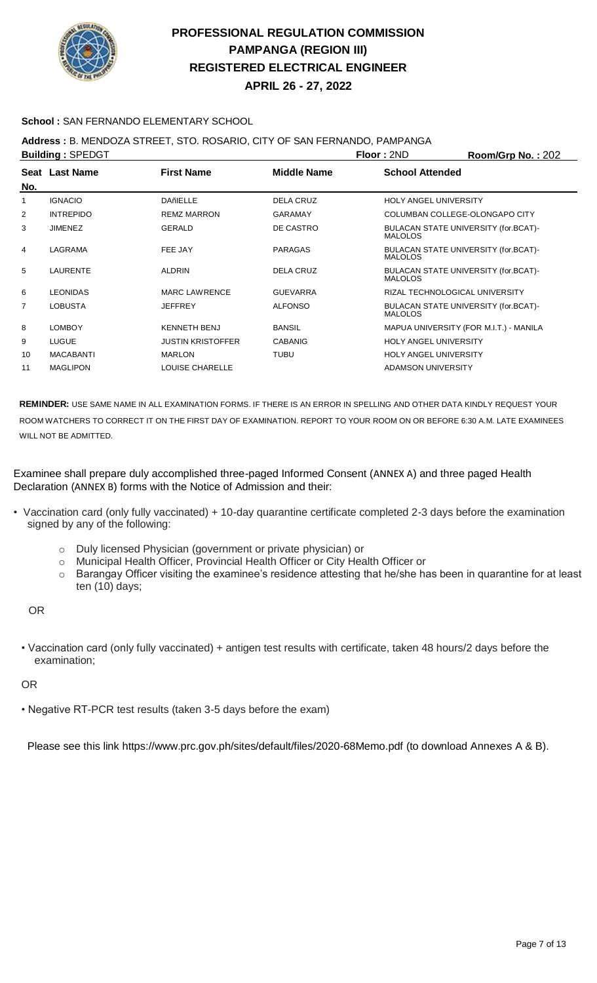

**APRIL 26 - 27, 2022**

### **School :** SAN FERNANDO ELEMENTARY SCHOOL

## **Address :** B. MENDOZA STREET, STO. ROSARIO, CITY OF SAN FERNANDO, PAMPANGA

|                  |                                           |                    |                                                        | Room/Grp No.: 202                      |
|------------------|-------------------------------------------|--------------------|--------------------------------------------------------|----------------------------------------|
|                  | <b>First Name</b>                         | <b>Middle Name</b> | <b>School Attended</b>                                 |                                        |
| <b>IGNACIO</b>   | <b>DAñIELLE</b>                           | <b>DELA CRUZ</b>   | <b>HOLY ANGEL UNIVERSITY</b>                           |                                        |
| <b>INTREPIDO</b> | <b>REMZ MARRON</b>                        | <b>GARAMAY</b>     | COLUMBAN COLLEGE-OLONGAPO CITY                         |                                        |
| <b>JIMENEZ</b>   | <b>GERALD</b>                             | DE CASTRO          | BULACAN STATE UNIVERSITY (for.BCAT)-<br><b>MALOLOS</b> |                                        |
| LAGRAMA          | FEE JAY                                   | <b>PARAGAS</b>     | BULACAN STATE UNIVERSITY (for.BCAT)-<br><b>MALOLOS</b> |                                        |
| <b>LAURENTE</b>  | <b>ALDRIN</b>                             | <b>DELA CRUZ</b>   | BULACAN STATE UNIVERSITY (for.BCAT)-<br><b>MALOLOS</b> |                                        |
| <b>LEONIDAS</b>  | <b>MARC LAWRENCE</b>                      | <b>GUEVARRA</b>    | RIZAL TECHNOLOGICAL UNIVERSITY                         |                                        |
| <b>LOBUSTA</b>   | <b>JEFFREY</b>                            | <b>ALFONSO</b>     | BULACAN STATE UNIVERSITY (for.BCAT)-<br><b>MALOLOS</b> |                                        |
| <b>LOMBOY</b>    | <b>KENNETH BENJ</b>                       | <b>BANSIL</b>      |                                                        | MAPUA UNIVERSITY (FOR M.I.T.) - MANILA |
| <b>LUGUE</b>     | <b>JUSTIN KRISTOFFER</b>                  | <b>CABANIG</b>     | <b>HOLY ANGEL UNIVERSITY</b>                           |                                        |
| <b>MACABANTI</b> | <b>MARLON</b>                             | <b>TUBU</b>        | <b>HOLY ANGEL UNIVERSITY</b>                           |                                        |
| <b>MAGLIPON</b>  | LOUISE CHARELLE                           |                    | ADAMSON UNIVERSITY                                     |                                        |
|                  | <b>Building: SPEDGT</b><br>Seat Last Name |                    |                                                        | Floor: 2ND                             |

**REMINDER:** USE SAME NAME IN ALL EXAMINATION FORMS. IF THERE IS AN ERROR IN SPELLING AND OTHER DATA KINDLY REQUEST YOUR ROOM WATCHERS TO CORRECT IT ON THE FIRST DAY OF EXAMINATION. REPORT TO YOUR ROOM ON OR BEFORE 6:30 A.M. LATE EXAMINEES WILL NOT BE ADMITTED.

Examinee shall prepare duly accomplished three-paged Informed Consent (ANNEX A) and three paged Health Declaration (ANNEX B) forms with the Notice of Admission and their:

- Vaccination card (only fully vaccinated) + 10-day quarantine certificate completed 2-3 days before the examination signed by any of the following:
	- o Duly licensed Physician (government or private physician) or
	- o Municipal Health Officer, Provincial Health Officer or City Health Officer or
	- o Barangay Officer visiting the examinee's residence attesting that he/she has been in quarantine for at least ten (10) days;

OR

• Vaccination card (only fully vaccinated) + antigen test results with certificate, taken 48 hours/2 days before the examination;

#### OR

• Negative RT-PCR test results (taken 3-5 days before the exam)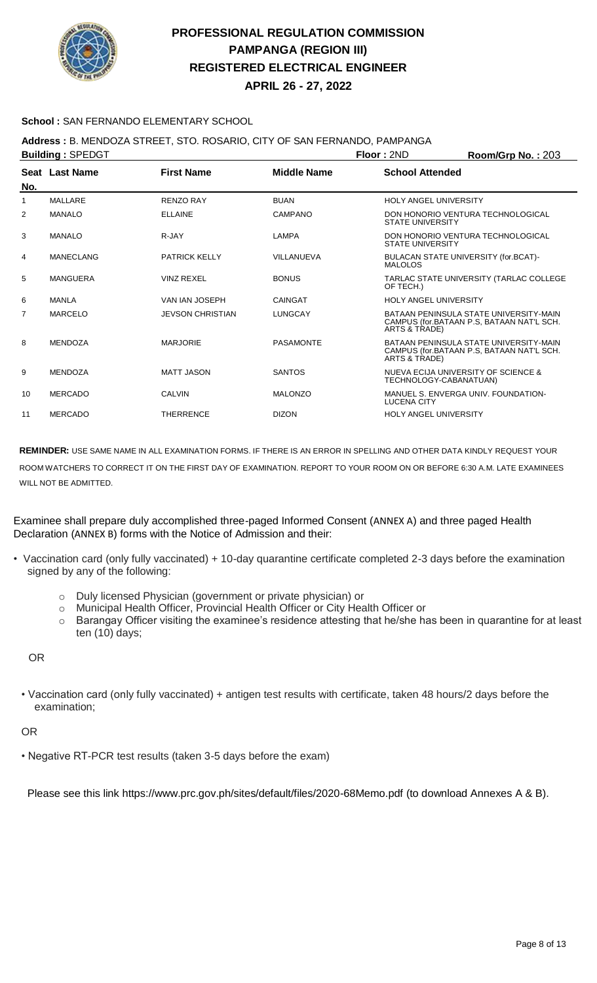

**APRIL 26 - 27, 2022**

### **School :** SAN FERNANDO ELEMENTARY SCHOOL

## **Address :** B. MENDOZA STREET, STO. ROSARIO, CITY OF SAN FERNANDO, PAMPANGA

| <b>Building: SPEDGT</b> |                |                         |                    | Floor: 2ND                   | Room/Grp No.: 203                                                                   |
|-------------------------|----------------|-------------------------|--------------------|------------------------------|-------------------------------------------------------------------------------------|
| No.                     | Seat Last Name | <b>First Name</b>       | <b>Middle Name</b> | <b>School Attended</b>       |                                                                                     |
| 1                       | MALLARE        | <b>RENZO RAY</b>        | <b>BUAN</b>        | <b>HOLY ANGEL UNIVERSITY</b> |                                                                                     |
| 2                       | <b>MANALO</b>  | <b>ELLAINE</b>          | <b>CAMPANO</b>     | <b>STATE UNIVERSITY</b>      | DON HONORIO VENTURA TECHNOLOGICAL                                                   |
| 3                       | <b>MANALO</b>  | R-JAY                   | <b>LAMPA</b>       | <b>STATE UNIVERSITY</b>      | DON HONORIO VENTURA TECHNOLOGICAL                                                   |
| 4                       | MANECLANG      | <b>PATRICK KELLY</b>    | VILLANUEVA         | <b>MALOLOS</b>               | BULACAN STATE UNIVERSITY (for.BCAT)-                                                |
| 5                       | MANGUERA       | <b>VINZ REXEL</b>       | <b>BONUS</b>       | OF TECH.)                    | TARLAC STATE UNIVERSITY (TARLAC COLLEGE                                             |
| 6                       | MANLA          | VAN IAN JOSEPH          | CAINGAT            | <b>HOLY ANGEL UNIVERSITY</b> |                                                                                     |
| $\overline{7}$          | <b>MARCELO</b> | <b>JEVSON CHRISTIAN</b> | LUNGCAY            | ARTS & TRADE)                | BATAAN PENINSULA STATE UNIVERSITY-MAIN<br>CAMPUS (for.BATAAN P.S. BATAAN NAT'L SCH. |
| 8                       | <b>MENDOZA</b> | <b>MARJORIE</b>         | <b>PASAMONTE</b>   | ARTS & TRADE)                | BATAAN PENINSULA STATE UNIVERSITY-MAIN<br>CAMPUS (for.BATAAN P.S, BATAAN NAT'L SCH. |
| 9                       | <b>MENDOZA</b> | <b>MATT JASON</b>       | <b>SANTOS</b>      | TECHNOLOGY-CABANATUAN)       | NUEVA ECIJA UNIVERSITY OF SCIENCE &                                                 |
| 10                      | <b>MERCADO</b> | <b>CALVIN</b>           | <b>MALONZO</b>     | <b>LUCENA CITY</b>           | MANUEL S. ENVERGA UNIV. FOUNDATION-                                                 |
| 11                      | <b>MERCADO</b> | <b>THERRENCE</b>        | <b>DIZON</b>       | <b>HOLY ANGEL UNIVERSITY</b> |                                                                                     |
|                         |                |                         |                    |                              |                                                                                     |

**REMINDER:** USE SAME NAME IN ALL EXAMINATION FORMS. IF THERE IS AN ERROR IN SPELLING AND OTHER DATA KINDLY REQUEST YOUR ROOM WATCHERS TO CORRECT IT ON THE FIRST DAY OF EXAMINATION. REPORT TO YOUR ROOM ON OR BEFORE 6:30 A.M. LATE EXAMINEES WILL NOT BE ADMITTED.

Examinee shall prepare duly accomplished three-paged Informed Consent (ANNEX A) and three paged Health Declaration (ANNEX B) forms with the Notice of Admission and their:

- Vaccination card (only fully vaccinated) + 10-day quarantine certificate completed 2-3 days before the examination signed by any of the following:
	- o Duly licensed Physician (government or private physician) or
	- o Municipal Health Officer, Provincial Health Officer or City Health Officer or
	- o Barangay Officer visiting the examinee's residence attesting that he/she has been in quarantine for at least ten (10) days;

OR

• Vaccination card (only fully vaccinated) + antigen test results with certificate, taken 48 hours/2 days before the examination;

OR

• Negative RT-PCR test results (taken 3-5 days before the exam)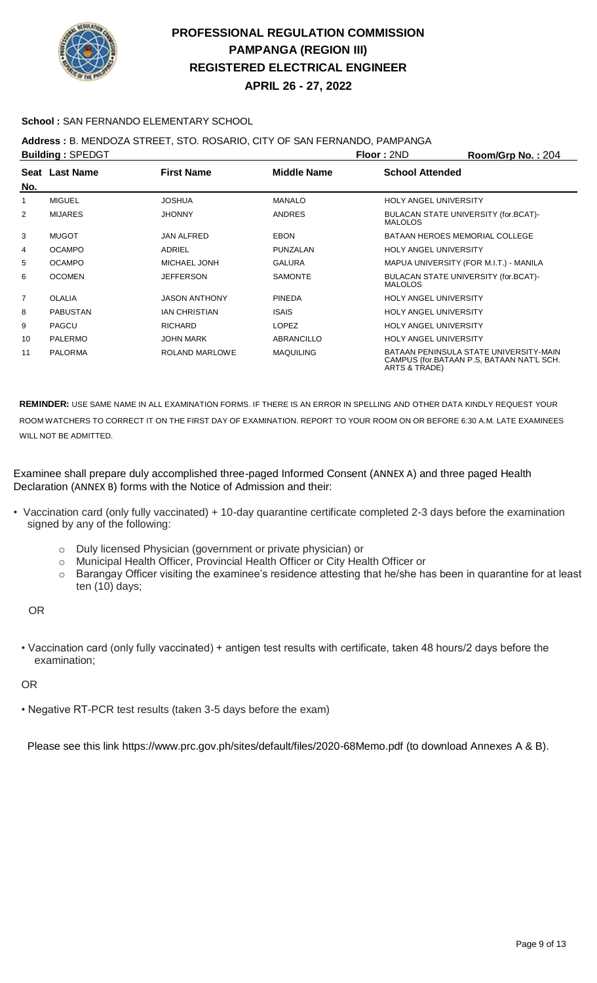

**APRIL 26 - 27, 2022**

### **School :** SAN FERNANDO ELEMENTARY SCHOOL

## **Address :** B. MENDOZA STREET, STO. ROSARIO, CITY OF SAN FERNANDO, PAMPANGA

|                | <b>Building: SPEDGT</b> |                      |                    | <b>Floor: 2ND</b>            | Room/Grp No.: 204                                                                   |
|----------------|-------------------------|----------------------|--------------------|------------------------------|-------------------------------------------------------------------------------------|
| No.            | Seat Last Name          | <b>First Name</b>    | <b>Middle Name</b> | <b>School Attended</b>       |                                                                                     |
|                | <b>MIGUEL</b>           | <b>JOSHUA</b>        | <b>MANALO</b>      | <b>HOLY ANGEL UNIVERSITY</b> |                                                                                     |
| 2              | <b>MIJARES</b>          | <b>JHONNY</b>        | <b>ANDRES</b>      | <b>MALOLOS</b>               | BULACAN STATE UNIVERSITY (for.BCAT)-                                                |
| 3              | <b>MUGOT</b>            | <b>JAN ALFRED</b>    | <b>EBON</b>        |                              | <b>BATAAN HEROES MEMORIAL COLLEGE</b>                                               |
| 4              | <b>OCAMPO</b>           | ADRIEL               | PUNZALAN           | <b>HOLY ANGEL UNIVERSITY</b> |                                                                                     |
| 5              | <b>OCAMPO</b>           | <b>MICHAEL JONH</b>  | <b>GALURA</b>      |                              | MAPUA UNIVERSITY (FOR M.I.T.) - MANILA                                              |
| 6              | <b>OCOMEN</b>           | <b>JEFFERSON</b>     | <b>SAMONTE</b>     | <b>MALOLOS</b>               | BULACAN STATE UNIVERSITY (for.BCAT)-                                                |
| $\overline{7}$ | <b>OLALIA</b>           | <b>JASON ANTHONY</b> | <b>PINEDA</b>      | <b>HOLY ANGEL UNIVERSITY</b> |                                                                                     |
| 8              | <b>PABUSTAN</b>         | <b>IAN CHRISTIAN</b> | <b>ISAIS</b>       | <b>HOLY ANGEL UNIVERSITY</b> |                                                                                     |
| 9              | PAGCU                   | <b>RICHARD</b>       | <b>LOPEZ</b>       | <b>HOLY ANGEL UNIVERSITY</b> |                                                                                     |
| 10             | <b>PALERMO</b>          | <b>JOHN MARK</b>     | ABRANCILLO         | <b>HOLY ANGEL UNIVERSITY</b> |                                                                                     |
| 11             | <b>PALORMA</b>          | ROLAND MARLOWE       | <b>MAQUILING</b>   | ARTS & TRADE)                | BATAAN PENINSULA STATE UNIVERSITY-MAIN<br>CAMPUS (for.BATAAN P.S. BATAAN NAT'L SCH. |

**REMINDER:** USE SAME NAME IN ALL EXAMINATION FORMS. IF THERE IS AN ERROR IN SPELLING AND OTHER DATA KINDLY REQUEST YOUR ROOM WATCHERS TO CORRECT IT ON THE FIRST DAY OF EXAMINATION. REPORT TO YOUR ROOM ON OR BEFORE 6:30 A.M. LATE EXAMINEES WILL NOT BE ADMITTED.

Examinee shall prepare duly accomplished three-paged Informed Consent (ANNEX A) and three paged Health Declaration (ANNEX B) forms with the Notice of Admission and their:

- Vaccination card (only fully vaccinated) + 10-day quarantine certificate completed 2-3 days before the examination signed by any of the following:
	- o Duly licensed Physician (government or private physician) or
	- o Municipal Health Officer, Provincial Health Officer or City Health Officer or
	- o Barangay Officer visiting the examinee's residence attesting that he/she has been in quarantine for at least ten (10) days;

OR

• Vaccination card (only fully vaccinated) + antigen test results with certificate, taken 48 hours/2 days before the examination;

#### OR

• Negative RT-PCR test results (taken 3-5 days before the exam)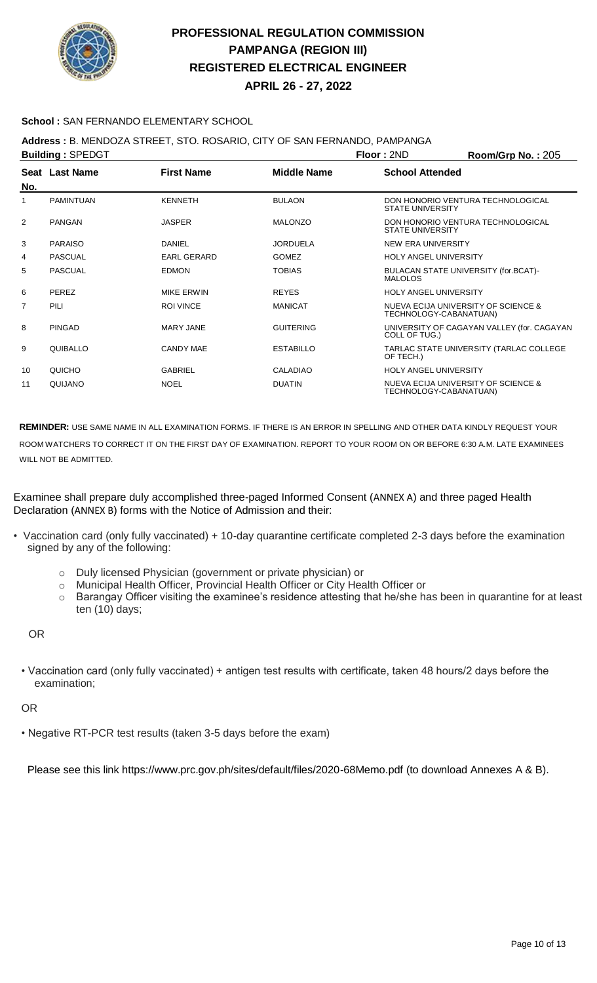

**APRIL 26 - 27, 2022**

### **School :** SAN FERNANDO ELEMENTARY SCHOOL

## **Address :** B. MENDOZA STREET, STO. ROSARIO, CITY OF SAN FERNANDO, PAMPANGA

| <b>Building: SPEDGT</b> |                  |                    |                    | Floor: 2ND                   | Room/Grp No.: 205                          |
|-------------------------|------------------|--------------------|--------------------|------------------------------|--------------------------------------------|
| No.                     | Seat Last Name   | <b>First Name</b>  | <b>Middle Name</b> | <b>School Attended</b>       |                                            |
|                         | <b>PAMINTUAN</b> | <b>KENNETH</b>     | <b>BULAON</b>      | <b>STATE UNIVERSITY</b>      | DON HONORIO VENTURA TECHNOLOGICAL          |
| 2                       | <b>PANGAN</b>    | <b>JASPER</b>      | <b>MALONZO</b>     | <b>STATE UNIVERSITY</b>      | DON HONORIO VENTURA TECHNOLOGICAL          |
| 3                       | <b>PARAISO</b>   | DANIEL             | <b>JORDUELA</b>    | NEW ERA UNIVERSITY           |                                            |
| 4                       | PASCUAL          | <b>EARL GERARD</b> | <b>GOMEZ</b>       | <b>HOLY ANGEL UNIVERSITY</b> |                                            |
| 5                       | <b>PASCUAL</b>   | <b>EDMON</b>       | <b>TOBIAS</b>      | <b>MALOLOS</b>               | BULACAN STATE UNIVERSITY (for.BCAT)-       |
| 6                       | PEREZ            | <b>MIKE ERWIN</b>  | <b>REYES</b>       | <b>HOLY ANGEL UNIVERSITY</b> |                                            |
| $\overline{7}$          | PILI             | <b>ROI VINCE</b>   | <b>MANICAT</b>     | TECHNOLOGY-CABANATUAN)       | NUEVA ECIJA UNIVERSITY OF SCIENCE &        |
| 8                       | <b>PINGAD</b>    | <b>MARY JANE</b>   | <b>GUITERING</b>   | COLL OF TUG.)                | UNIVERSITY OF CAGAYAN VALLEY (for. CAGAYAN |
| 9                       | QUIBALLO         | <b>CANDY MAE</b>   | <b>ESTABILLO</b>   | OF TECH.)                    | TARLAC STATE UNIVERSITY (TARLAC COLLEGE    |
| 10                      | QUICHO           | <b>GABRIEL</b>     | <b>CALADIAO</b>    | <b>HOLY ANGEL UNIVERSITY</b> |                                            |
| 11                      | QUIJANO          | <b>NOEL</b>        | <b>DUATIN</b>      | TECHNOLOGY-CABANATUAN)       | NUEVA ECIJA UNIVERSITY OF SCIENCE &        |

**REMINDER:** USE SAME NAME IN ALL EXAMINATION FORMS. IF THERE IS AN ERROR IN SPELLING AND OTHER DATA KINDLY REQUEST YOUR ROOM WATCHERS TO CORRECT IT ON THE FIRST DAY OF EXAMINATION. REPORT TO YOUR ROOM ON OR BEFORE 6:30 A.M. LATE EXAMINEES WILL NOT BE ADMITTED.

Examinee shall prepare duly accomplished three-paged Informed Consent (ANNEX A) and three paged Health Declaration (ANNEX B) forms with the Notice of Admission and their:

- Vaccination card (only fully vaccinated) + 10-day quarantine certificate completed 2-3 days before the examination signed by any of the following:
	- o Duly licensed Physician (government or private physician) or
	- o Municipal Health Officer, Provincial Health Officer or City Health Officer or
	- o Barangay Officer visiting the examinee's residence attesting that he/she has been in quarantine for at least ten (10) days;

OR

• Vaccination card (only fully vaccinated) + antigen test results with certificate, taken 48 hours/2 days before the examination;

OR

• Negative RT-PCR test results (taken 3-5 days before the exam)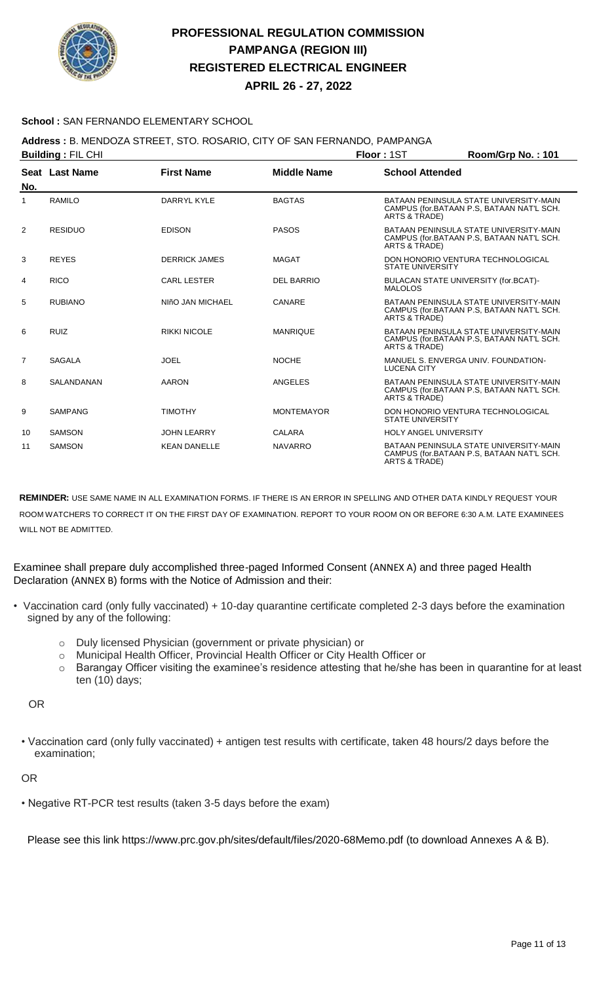

**APRIL 26 - 27, 2022**

### **School :** SAN FERNANDO ELEMENTARY SCHOOL

### **Address :** B. MENDOZA STREET, STO. ROSARIO, CITY OF SAN FERNANDO, PAMPANGA

| <b>Building: FIL CHI</b> |                |                      |                    | Floor: 1ST                                             | Room/Grp No.: 101                                                                   |
|--------------------------|----------------|----------------------|--------------------|--------------------------------------------------------|-------------------------------------------------------------------------------------|
|                          | Seat Last Name | <b>First Name</b>    | <b>Middle Name</b> | <b>School Attended</b>                                 |                                                                                     |
| No.                      |                |                      |                    |                                                        |                                                                                     |
| $\mathbf{1}$             | RAMILO         | DARRYL KYLE          | <b>BAGTAS</b>      | ARTS & TRADE)                                          | BATAAN PENINSULA STATE UNIVERSITY-MAIN<br>CAMPUS (for.BATAAN P.S. BATAAN NAT'L SCH. |
| 2                        | <b>RESIDUO</b> | <b>EDISON</b>        | <b>PASOS</b>       | ARTS & TRADE)                                          | BATAAN PENINSULA STATE UNIVERSITY-MAIN<br>CAMPUS (for.BATAAN P.S. BATAAN NAT'L SCH. |
| 3                        | <b>REYES</b>   | <b>DERRICK JAMES</b> | <b>MAGAT</b>       | <b>STATE UNIVERSITY</b>                                | DON HONORIO VENTURA TECHNOLOGICAL                                                   |
| 4                        | <b>RICO</b>    | <b>CARL LESTER</b>   | <b>DEL BARRIO</b>  | BULACAN STATE UNIVERSITY (for.BCAT)-<br><b>MALOLOS</b> |                                                                                     |
| 5                        | <b>RUBIANO</b> | NIñO JAN MICHAEL     | CANARE             | ARTS & TRADE)                                          | BATAAN PENINSULA STATE UNIVERSITY-MAIN<br>CAMPUS (for.BATAAN P.S. BATAAN NAT'L SCH. |
| 6                        | <b>RUIZ</b>    | <b>RIKKI NICOLE</b>  | <b>MANRIQUE</b>    | ARTS & TRADE)                                          | BATAAN PENINSULA STATE UNIVERSITY-MAIN<br>CAMPUS (for.BATAAN P.S. BATAAN NAT'L SCH. |
| $\overline{7}$           | <b>SAGALA</b>  | <b>JOEL</b>          | <b>NOCHE</b>       | <b>LUCENA CITY</b>                                     | MANUEL S. ENVERGA UNIV. FOUNDATION-                                                 |
| 8                        | SALANDANAN     | <b>AARON</b>         | ANGELES            | ARTS & TRADE)                                          | BATAAN PENINSULA STATE UNIVERSITY-MAIN<br>CAMPUS (for.BATAAN P.S, BATAAN NAT'L SCH. |
| 9                        | <b>SAMPANG</b> | <b>TIMOTHY</b>       | <b>MONTEMAYOR</b>  | <b>STATE UNIVERSITY</b>                                | DON HONORIO VENTURA TECHNOLOGICAL                                                   |
| 10                       | <b>SAMSON</b>  | <b>JOHN LEARRY</b>   | <b>CALARA</b>      | <b>HOLY ANGEL UNIVERSITY</b>                           |                                                                                     |
| 11                       | <b>SAMSON</b>  | <b>KEAN DANELLE</b>  | <b>NAVARRO</b>     | ARTS & TRADE)                                          | BATAAN PENINSULA STATE UNIVERSITY-MAIN<br>CAMPUS (for.BATAAN P.S. BATAAN NAT'L SCH. |

**REMINDER:** USE SAME NAME IN ALL EXAMINATION FORMS. IF THERE IS AN ERROR IN SPELLING AND OTHER DATA KINDLY REQUEST YOUR ROOM WATCHERS TO CORRECT IT ON THE FIRST DAY OF EXAMINATION. REPORT TO YOUR ROOM ON OR BEFORE 6:30 A.M. LATE EXAMINEES WILL NOT BE ADMITTED.

Examinee shall prepare duly accomplished three-paged Informed Consent (ANNEX A) and three paged Health Declaration (ANNEX B) forms with the Notice of Admission and their:

- Vaccination card (only fully vaccinated) + 10-day quarantine certificate completed 2-3 days before the examination signed by any of the following:
	- o Duly licensed Physician (government or private physician) or
	- o Municipal Health Officer, Provincial Health Officer or City Health Officer or
	- o Barangay Officer visiting the examinee's residence attesting that he/she has been in quarantine for at least ten (10) days;

OR

• Vaccination card (only fully vaccinated) + antigen test results with certificate, taken 48 hours/2 days before the examination;

#### OR

• Negative RT-PCR test results (taken 3-5 days before the exam)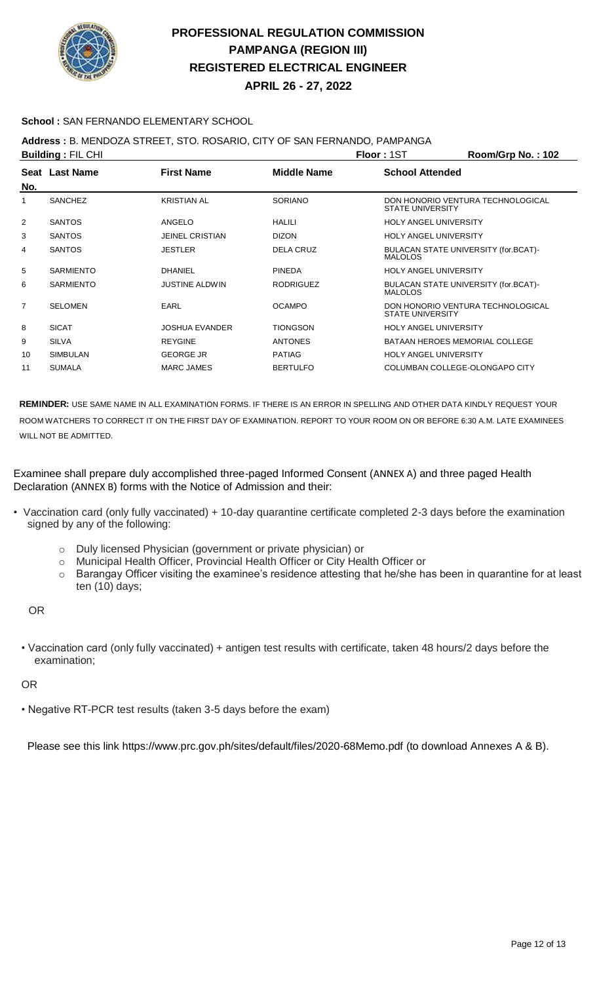

**APRIL 26 - 27, 2022**

### **School :** SAN FERNANDO ELEMENTARY SCHOOL

## **Address :** B. MENDOZA STREET, STO. ROSARIO, CITY OF SAN FERNANDO, PAMPANGA

| <b>Building: FIL CHI</b> |                  |                        |                    | <b>Floor: 1ST</b>                                      | Room/Grp No.: 102                 |
|--------------------------|------------------|------------------------|--------------------|--------------------------------------------------------|-----------------------------------|
| No.                      | Seat Last Name   | <b>First Name</b>      | <b>Middle Name</b> | <b>School Attended</b>                                 |                                   |
| 1                        | <b>SANCHEZ</b>   | <b>KRISTIAN AL</b>     | <b>SORIANO</b>     | <b>STATE UNIVERSITY</b>                                | DON HONORIO VENTURA TECHNOLOGICAL |
| 2                        | <b>SANTOS</b>    | ANGELO                 | <b>HALILI</b>      | <b>HOLY ANGEL UNIVERSITY</b>                           |                                   |
| 3                        | <b>SANTOS</b>    | <b>JEINEL CRISTIAN</b> | <b>DIZON</b>       | <b>HOLY ANGEL UNIVERSITY</b>                           |                                   |
| 4                        | <b>SANTOS</b>    | <b>JESTLER</b>         | <b>DELA CRUZ</b>   | BULACAN STATE UNIVERSITY (for.BCAT)-<br><b>MALOLOS</b> |                                   |
| 5                        | <b>SARMIENTO</b> | <b>DHANIEL</b>         | <b>PINEDA</b>      | <b>HOLY ANGEL UNIVERSITY</b>                           |                                   |
| 6                        | <b>SARMIENTO</b> | <b>JUSTINE ALDWIN</b>  | <b>RODRIGUEZ</b>   | BULACAN STATE UNIVERSITY (for.BCAT)-<br><b>MALOLOS</b> |                                   |
| 7                        | <b>SELOMEN</b>   | EARL                   | <b>OCAMPO</b>      | <b>STATE UNIVERSITY</b>                                | DON HONORIO VENTURA TECHNOLOGICAL |
| 8                        | <b>SICAT</b>     | <b>JOSHUA EVANDER</b>  | <b>TIONGSON</b>    | <b>HOLY ANGEL UNIVERSITY</b>                           |                                   |
| 9                        | <b>SILVA</b>     | <b>REYGINE</b>         | <b>ANTONES</b>     | <b>BATAAN HEROES MEMORIAL COLLEGE</b>                  |                                   |
| 10                       | <b>SIMBULAN</b>  | <b>GEORGE JR</b>       | <b>PATIAG</b>      | <b>HOLY ANGEL UNIVERSITY</b>                           |                                   |
| 11                       | <b>SUMALA</b>    | <b>MARC JAMES</b>      | <b>BERTULFO</b>    | COLUMBAN COLLEGE-OLONGAPO CITY                         |                                   |
|                          |                  |                        |                    |                                                        |                                   |

**REMINDER:** USE SAME NAME IN ALL EXAMINATION FORMS. IF THERE IS AN ERROR IN SPELLING AND OTHER DATA KINDLY REQUEST YOUR ROOM WATCHERS TO CORRECT IT ON THE FIRST DAY OF EXAMINATION. REPORT TO YOUR ROOM ON OR BEFORE 6:30 A.M. LATE EXAMINEES WILL NOT BE ADMITTED.

Examinee shall prepare duly accomplished three-paged Informed Consent (ANNEX A) and three paged Health Declaration (ANNEX B) forms with the Notice of Admission and their:

- Vaccination card (only fully vaccinated) + 10-day quarantine certificate completed 2-3 days before the examination signed by any of the following:
	- o Duly licensed Physician (government or private physician) or
	- o Municipal Health Officer, Provincial Health Officer or City Health Officer or
	- o Barangay Officer visiting the examinee's residence attesting that he/she has been in quarantine for at least ten (10) days;

OR

• Vaccination card (only fully vaccinated) + antigen test results with certificate, taken 48 hours/2 days before the examination;

#### OR

• Negative RT-PCR test results (taken 3-5 days before the exam)